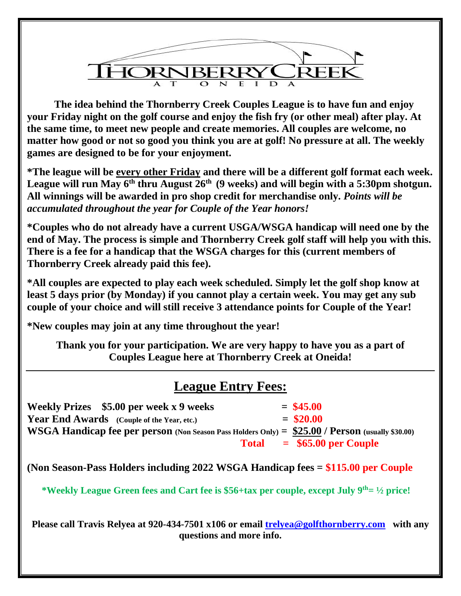

**The idea behind the Thornberry Creek Couples League is to have fun and enjoy your Friday night on the golf course and enjoy the fish fry (or other meal) after play. At the same time, to meet new people and create memories. All couples are welcome, no matter how good or not so good you think you are at golf! No pressure at all. The weekly games are designed to be for your enjoyment.** 

**\*The league will be every other Friday and there will be a different golf format each week.**  League will run May 6<sup>th</sup> thru August 26<sup>th</sup> (9 weeks) and will begin with a 5:30pm shotgun. **All winnings will be awarded in pro shop credit for merchandise only.** *Points will be accumulated throughout the year for Couple of the Year honors!*

**\*Couples who do not already have a current USGA/WSGA handicap will need one by the end of May. The process is simple and Thornberry Creek golf staff will help you with this. There is a fee for a handicap that the WSGA charges for this (current members of Thornberry Creek already paid this fee).** 

**\*All couples are expected to play each week scheduled. Simply let the golf shop know at least 5 days prior (by Monday) if you cannot play a certain week. You may get any sub couple of your choice and will still receive 3 attendance points for Couple of the Year!** 

**\*New couples may join at any time throughout the year!** 

**Thank you for your participation. We are very happy to have you as a part of Couples League here at Thornberry Creek at Oneida!**

## **League Entry Fees:**

**Weekly Prizes**  $$5.00$  per week x 9 weeks  $= $45.00$ **Year End Awards** (Couple of the Year, etc.)  $= $20.00$ **WSGA Handicap fee per person (Non Season Pass Holders Only) = \$25.00 / Person (usually \$30.00) Total = \$65.00 per Couple**

**(Non Season-Pass Holders including 2022 WSGA Handicap fees = \$115.00 per Couple**

 **\*Weekly League Green fees and Cart fee is \$56+tax per couple, except July 9 th= ½ price!** 

**Please call Travis Relyea at 920-434-7501 x106 or email [trelyea@golfthornberry.com](mailto:trelyea@golfthornberry.com) with any questions and more info.**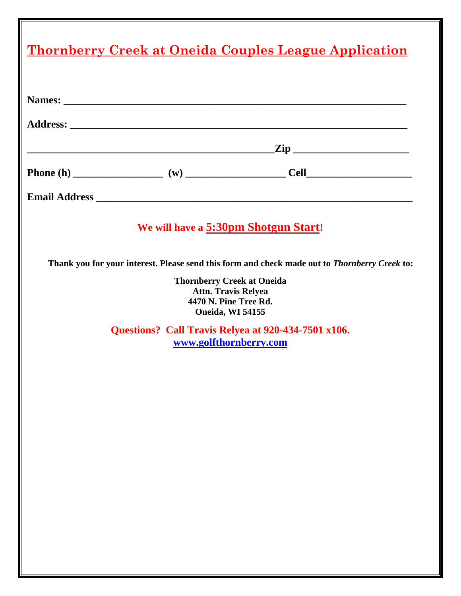| <u>Thornberry Creek at Oneida Couples League Application</u> |  |                                                                                                                                                                                                                                                                                                                                        |
|--------------------------------------------------------------|--|----------------------------------------------------------------------------------------------------------------------------------------------------------------------------------------------------------------------------------------------------------------------------------------------------------------------------------------|
|                                                              |  |                                                                                                                                                                                                                                                                                                                                        |
|                                                              |  |                                                                                                                                                                                                                                                                                                                                        |
|                                                              |  |                                                                                                                                                                                                                                                                                                                                        |
|                                                              |  |                                                                                                                                                                                                                                                                                                                                        |
|                                                              |  |                                                                                                                                                                                                                                                                                                                                        |
|                                                              |  |                                                                                                                                                                                                                                                                                                                                        |
|                                                              |  |                                                                                                                                                                                                                                                                                                                                        |
|                                                              |  |                                                                                                                                                                                                                                                                                                                                        |
|                                                              |  |                                                                                                                                                                                                                                                                                                                                        |
|                                                              |  |                                                                                                                                                                                                                                                                                                                                        |
|                                                              |  |                                                                                                                                                                                                                                                                                                                                        |
|                                                              |  |                                                                                                                                                                                                                                                                                                                                        |
|                                                              |  |                                                                                                                                                                                                                                                                                                                                        |
|                                                              |  |                                                                                                                                                                                                                                                                                                                                        |
|                                                              |  |                                                                                                                                                                                                                                                                                                                                        |
|                                                              |  |                                                                                                                                                                                                                                                                                                                                        |
|                                                              |  | We will have a 5:30pm Shotgun Start!<br>Thank you for your interest. Please send this form and check made out to Thornberry Creek to:<br><b>Thornberry Creek at Oneida</b><br><b>Attn. Travis Relyea</b><br>4470 N. Pine Tree Rd.<br>Oneida, WI 54155<br>Questions? Call Travis Relyea at 920-434-7501 x106.<br>www.golfthornberry.com |